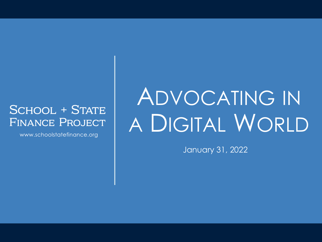#### **SCHOOL + STATE FINANCE PROJECT**

www.schoolstatefinance.org

### ADVOCATING IN A DIGITAL WORLD

January 31, 2022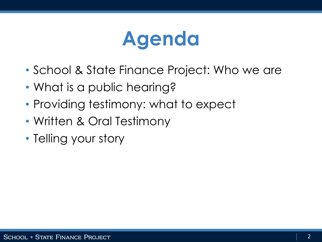### **Agenda**

- School & State Finance Project: Who we are
- What is a public hearing?
- Providing testimony: what to expect
- Written & Oral Testimony
- Telling your story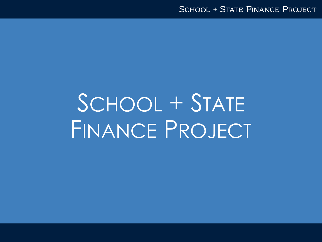# SCHOOL + STATE FINANCE PROJECT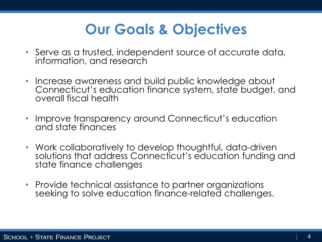#### **Our Goals & Objectives**

- Serve as a trusted, independent source of accurate data, information, and research
- Increase awareness and build public knowledge about Connecticut's education finance system, state budget, and overall fiscal health
- Improve transparency around Connecticut's education and state finances
- Work collaboratively to develop thoughtful, data-driven solutions that address Connecticut's education funding and state finance challenges
- Provide technical assistance to partner organizations seeking to solve education finance-related challenges.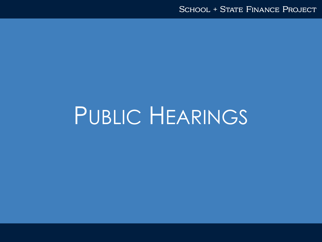### PUBLIC HEARINGS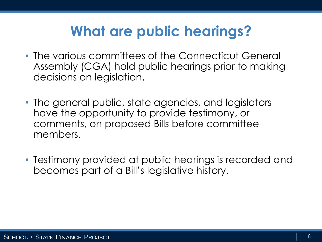### **What are public hearings?**

- The various committees of the Connecticut General Assembly (CGA) hold public hearings prior to making decisions on legislation.
- The general public, state agencies, and legislators have the opportunity to provide testimony, or comments, on proposed Bills before committee members.
- Testimony provided at public hearings is recorded and becomes part of a Bill's legislative history.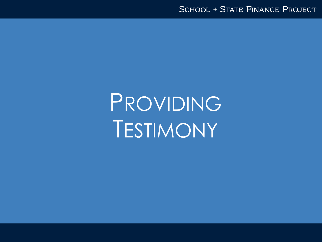## PROVIDING TESTIMONY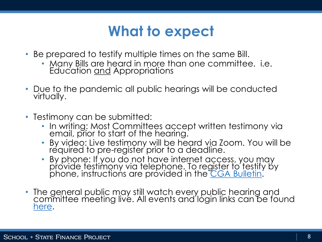#### **What to expect**

- Be prepared to testify multiple times on the same Bill.
	- Many Bills are heard in more than one committee. i.e.<br>Education <u>and</u> Appropriations
- Due to the pandemic all public hearings will be conducted virtually.
- Testimony can be submitted:
	- In writing: Most Committees accept written testimony via email, prior to start of the hearing.
	- By video: Live testimony will be heard via Zoom. You will be réquired to pre-register' prior to a deadline.
	- By phone: If you do not have internet access, you may<br>provide testimony via telephone. To re[gister to testify](https://www.cga.ct.gov/asp/cgabulletin/bulletin.asp) by<br>phone, instructions are provided in the [CGA Bulletin.](https://www.cga.ct.gov/asp/cgabulletin/bulletin.asp)
- $\bullet\,$  The general public may still watch every public hearing and committee meeting livé. All events and login links can be found [here.](https://www.cga.ct.gov/calendarofevents.asp)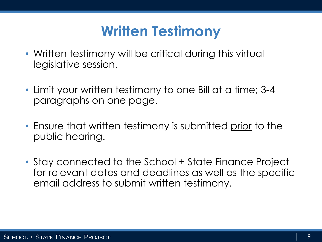#### **Written Testimony**

- Written testimony will be critical during this virtual legislative session.
- Limit your written testimony to one Bill at a time; 3-4 paragraphs on one page.
- Ensure that written testimony is submitted prior to the public hearing.
- Stay connected to the School + State Finance Project for relevant dates and deadlines as well as the specific email address to submit written testimony.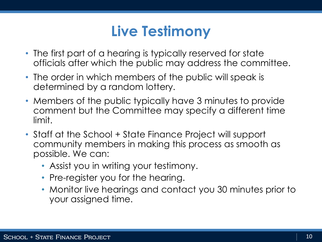#### **Live Testimony**

- The first part of a hearing is typically reserved for state officials after which the public may address the committee.
- The order in which members of the public will speak is determined by a random lottery.
- Members of the public typically have 3 minutes to provide comment but the Committee may specify a different time limit.
- Staff at the School + State Finance Project will support community members in making this process as smooth as possible. We can:
	- Assist you in writing your testimony.
	- Pre-register you for the hearing.
	- Monitor live hearings and contact you 30 minutes prior to your assigned time.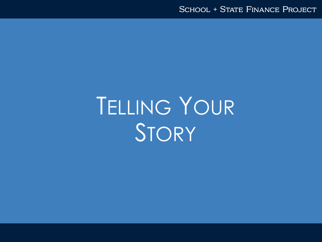**SCHOOL + STATE FINANCE PROJECT** 

### TELLING YOUR STORY